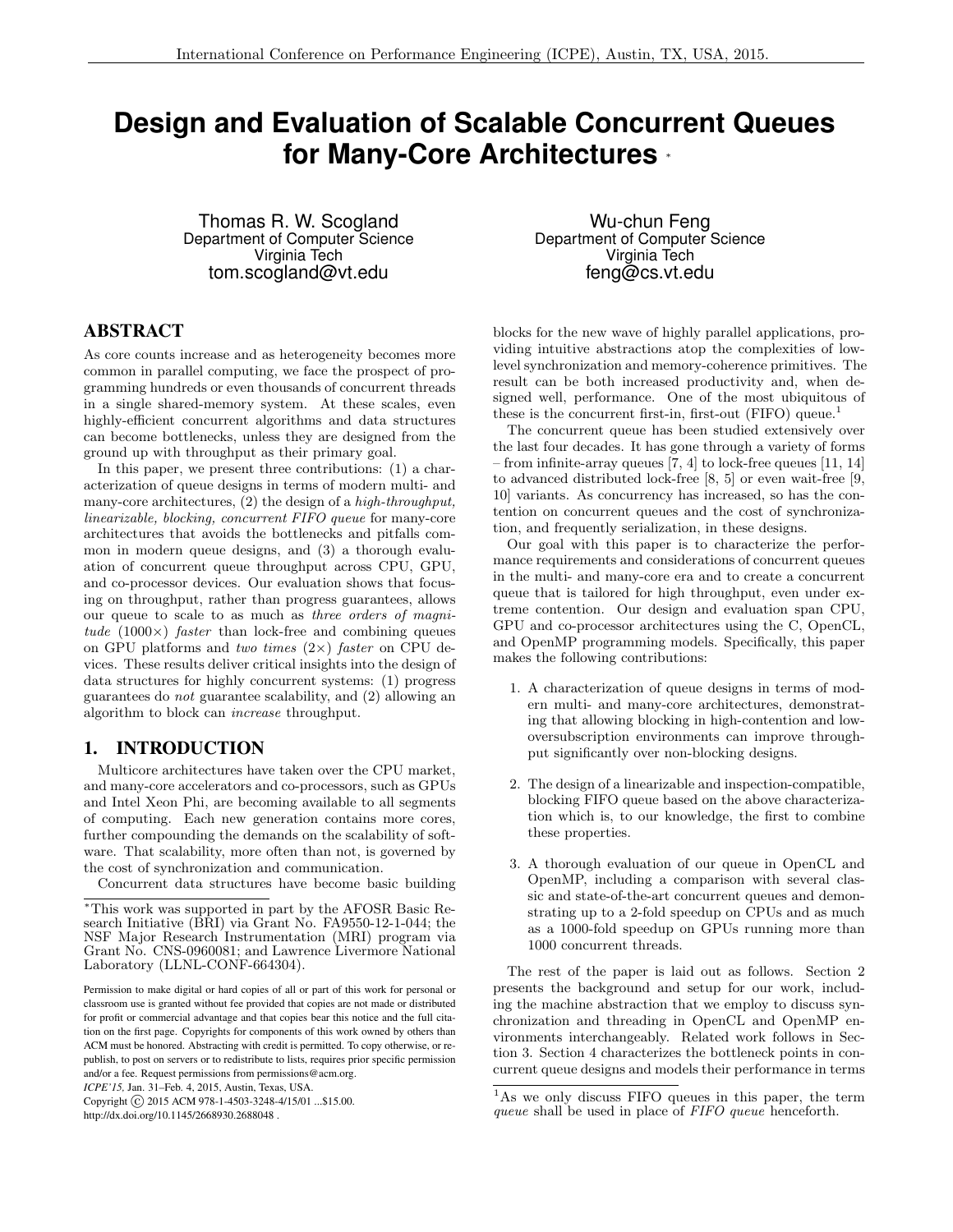# **Design and Evaluation of Scalable Concurrent Queues for Many-Core Architectures** <sup>∗</sup>

Thomas R. W. Scogland Department of Computer Science Virginia Tech tom.scogland@vt.edu

## ABSTRACT

As core counts increase and as heterogeneity becomes more common in parallel computing, we face the prospect of programming hundreds or even thousands of concurrent threads in a single shared-memory system. At these scales, even highly-efficient concurrent algorithms and data structures can become bottlenecks, unless they are designed from the ground up with throughput as their primary goal.

In this paper, we present three contributions: (1) a characterization of queue designs in terms of modern multi- and many-core architectures, (2) the design of a high-throughput, linearizable, blocking, concurrent FIFO queue for many-core architectures that avoids the bottlenecks and pitfalls common in modern queue designs, and (3) a thorough evaluation of concurrent queue throughput across CPU, GPU, and co-processor devices. Our evaluation shows that focusing on throughput, rather than progress guarantees, allows our queue to scale to as much as three orders of magnitude  $(1000\times)$  faster than lock-free and combining queues on GPU platforms and two times  $(2\times)$  faster on CPU devices. These results deliver critical insights into the design of data structures for highly concurrent systems: (1) progress guarantees do not guarantee scalability, and (2) allowing an algorithm to block can increase throughput.

#### 1. INTRODUCTION

Multicore architectures have taken over the CPU market, and many-core accelerators and co-processors, such as GPUs and Intel Xeon Phi, are becoming available to all segments of computing. Each new generation contains more cores, further compounding the demands on the scalability of software. That scalability, more often than not, is governed by the cost of synchronization and communication.

Concurrent data structures have become basic building

*ICPE'15,* Jan. 31–Feb. 4, 2015, Austin, Texas, USA.

Copyright (C) 2015 ACM 978-1-4503-3248-4/15/01 ... \$15.00. http://dx.doi.org/10.1145/2668930.2688048 .

Wu-chun Feng Department of Computer Science Virginia Tech feng@cs.vt.edu

blocks for the new wave of highly parallel applications, providing intuitive abstractions atop the complexities of lowlevel synchronization and memory-coherence primitives. The result can be both increased productivity and, when designed well, performance. One of the most ubiquitous of these is the concurrent first-in, first-out (FIFO) queue.<sup>1</sup>

The concurrent queue has been studied extensively over the last four decades. It has gone through a variety of forms – from infinite-array queues [7, 4] to lock-free queues [11, 14] to advanced distributed lock-free [8, 5] or even wait-free [9, 10] variants. As concurrency has increased, so has the contention on concurrent queues and the cost of synchronization, and frequently serialization, in these designs.

Our goal with this paper is to characterize the performance requirements and considerations of concurrent queues in the multi- and many-core era and to create a concurrent queue that is tailored for high throughput, even under extreme contention. Our design and evaluation span CPU, GPU and co-processor architectures using the C, OpenCL, and OpenMP programming models. Specifically, this paper makes the following contributions:

- 1. A characterization of queue designs in terms of modern multi- and many-core architectures, demonstrating that allowing blocking in high-contention and lowoversubscription environments can improve throughput significantly over non-blocking designs.
- 2. The design of a linearizable and inspection-compatible, blocking FIFO queue based on the above characterization which is, to our knowledge, the first to combine these properties.
- 3. A thorough evaluation of our queue in OpenCL and OpenMP, including a comparison with several classic and state-of-the-art concurrent queues and demonstrating up to a 2-fold speedup on CPUs and as much as a 1000-fold speedup on GPUs running more than 1000 concurrent threads.

The rest of the paper is laid out as follows. Section 2 presents the background and setup for our work, including the machine abstraction that we employ to discuss synchronization and threading in OpenCL and OpenMP environments interchangeably. Related work follows in Section 3. Section 4 characterizes the bottleneck points in concurrent queue designs and models their performance in terms

<sup>∗</sup>This work was supported in part by the AFOSR Basic Research Initiative (BRI) via Grant No. FA9550-12-1-044; the NSF Major Research Instrumentation (MRI) program via Grant No. CNS-0960081; and Lawrence Livermore National Laboratory (LLNL-CONF-664304).

Permission to make digital or hard copies of all or part of this work for personal or classroom use is granted without fee provided that copies are not made or distributed for profit or commercial advantage and that copies bear this notice and the full citation on the first page. Copyrights for components of this work owned by others than ACM must be honored. Abstracting with credit is permitted. To copy otherwise, or republish, to post on servers or to redistribute to lists, requires prior specific permission and/or a fee. Request permissions from permissions@acm.org.

<sup>&</sup>lt;sup>1</sup>As we only discuss FIFO queues in this paper, the term queue shall be used in place of FIFO queue henceforth.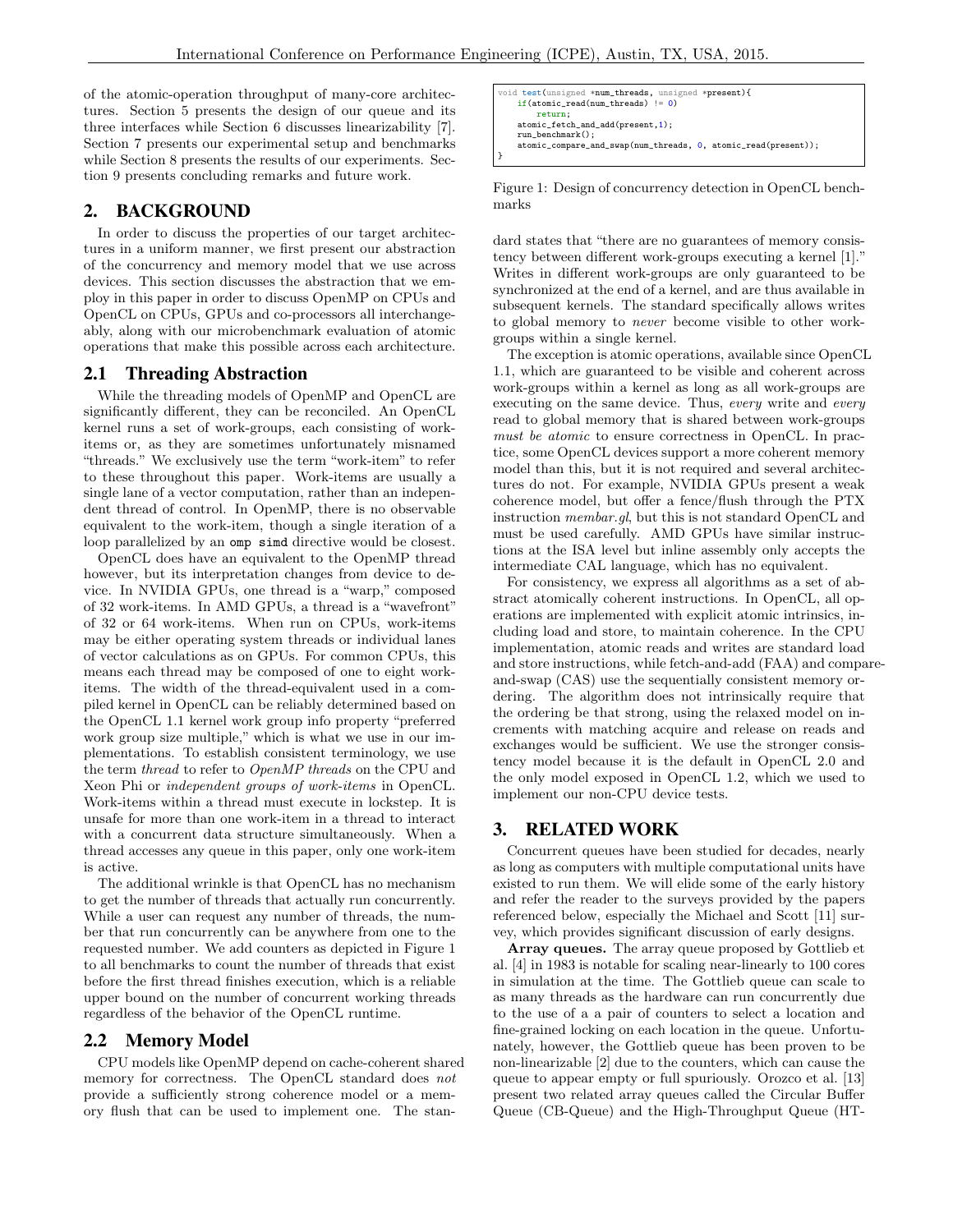of the atomic-operation throughput of many-core architectures. Section 5 presents the design of our queue and its three interfaces while Section 6 discusses linearizability [7]. Section 7 presents our experimental setup and benchmarks while Section 8 presents the results of our experiments. Section 9 presents concluding remarks and future work.

## 2. BACKGROUND

In order to discuss the properties of our target architectures in a uniform manner, we first present our abstraction of the concurrency and memory model that we use across devices. This section discusses the abstraction that we employ in this paper in order to discuss OpenMP on CPUs and OpenCL on CPUs, GPUs and co-processors all interchangeably, along with our microbenchmark evaluation of atomic operations that make this possible across each architecture.

#### 2.1 Threading Abstraction

While the threading models of OpenMP and OpenCL are significantly different, they can be reconciled. An OpenCL kernel runs a set of work-groups, each consisting of workitems or, as they are sometimes unfortunately misnamed "threads." We exclusively use the term "work-item" to refer to these throughout this paper. Work-items are usually a single lane of a vector computation, rather than an independent thread of control. In OpenMP, there is no observable equivalent to the work-item, though a single iteration of a loop parallelized by an omp simd directive would be closest.

OpenCL does have an equivalent to the OpenMP thread however, but its interpretation changes from device to device. In NVIDIA GPUs, one thread is a "warp," composed of 32 work-items. In AMD GPUs, a thread is a "wavefront" of 32 or 64 work-items. When run on CPUs, work-items may be either operating system threads or individual lanes of vector calculations as on GPUs. For common CPUs, this means each thread may be composed of one to eight workitems. The width of the thread-equivalent used in a compiled kernel in OpenCL can be reliably determined based on the OpenCL 1.1 kernel work group info property "preferred work group size multiple," which is what we use in our implementations. To establish consistent terminology, we use the term thread to refer to OpenMP threads on the CPU and Xeon Phi or independent groups of work-items in OpenCL. Work-items within a thread must execute in lockstep. It is unsafe for more than one work-item in a thread to interact with a concurrent data structure simultaneously. When a thread accesses any queue in this paper, only one work-item is active.

The additional wrinkle is that OpenCL has no mechanism to get the number of threads that actually run concurrently. While a user can request any number of threads, the number that run concurrently can be anywhere from one to the requested number. We add counters as depicted in Figure 1 to all benchmarks to count the number of threads that exist before the first thread finishes execution, which is a reliable upper bound on the number of concurrent working threads regardless of the behavior of the OpenCL runtime.

## 2.2 Memory Model

CPU models like OpenMP depend on cache-coherent shared memory for correctness. The OpenCL standard does not provide a sufficiently strong coherence model or a memory flush that can be used to implement one. The stanvoid test(unsigned \*num\_threads, unsigned \*present){ if(atomic\_read(num\_threads) != 0) return; atomic\_fetch\_and\_add(present,1); run\_benchmark(); atomic\_compare\_and\_swap(num\_threads, 0, atomic\_read(present)); }

Figure 1: Design of concurrency detection in OpenCL benchmarks

dard states that "there are no guarantees of memory consistency between different work-groups executing a kernel [1]." Writes in different work-groups are only guaranteed to be synchronized at the end of a kernel, and are thus available in subsequent kernels. The standard specifically allows writes to global memory to never become visible to other workgroups within a single kernel.

The exception is atomic operations, available since OpenCL 1.1, which are guaranteed to be visible and coherent across work-groups within a kernel as long as all work-groups are executing on the same device. Thus, every write and every read to global memory that is shared between work-groups must be atomic to ensure correctness in OpenCL. In practice, some OpenCL devices support a more coherent memory model than this, but it is not required and several architectures do not. For example, NVIDIA GPUs present a weak coherence model, but offer a fence/flush through the PTX instruction membar.gl, but this is not standard OpenCL and must be used carefully. AMD GPUs have similar instructions at the ISA level but inline assembly only accepts the intermediate CAL language, which has no equivalent.

For consistency, we express all algorithms as a set of abstract atomically coherent instructions. In OpenCL, all operations are implemented with explicit atomic intrinsics, including load and store, to maintain coherence. In the CPU implementation, atomic reads and writes are standard load and store instructions, while fetch-and-add (FAA) and compareand-swap (CAS) use the sequentially consistent memory ordering. The algorithm does not intrinsically require that the ordering be that strong, using the relaxed model on increments with matching acquire and release on reads and exchanges would be sufficient. We use the stronger consistency model because it is the default in OpenCL 2.0 and the only model exposed in OpenCL 1.2, which we used to implement our non-CPU device tests.

#### 3. RELATED WORK

Concurrent queues have been studied for decades, nearly as long as computers with multiple computational units have existed to run them. We will elide some of the early history and refer the reader to the surveys provided by the papers referenced below, especially the Michael and Scott [11] survey, which provides significant discussion of early designs.

Array queues. The array queue proposed by Gottlieb et al. [4] in 1983 is notable for scaling near-linearly to 100 cores in simulation at the time. The Gottlieb queue can scale to as many threads as the hardware can run concurrently due to the use of a a pair of counters to select a location and fine-grained locking on each location in the queue. Unfortunately, however, the Gottlieb queue has been proven to be non-linearizable [2] due to the counters, which can cause the queue to appear empty or full spuriously. Orozco et al. [13] present two related array queues called the Circular Buffer Queue (CB-Queue) and the High-Throughput Queue (HT-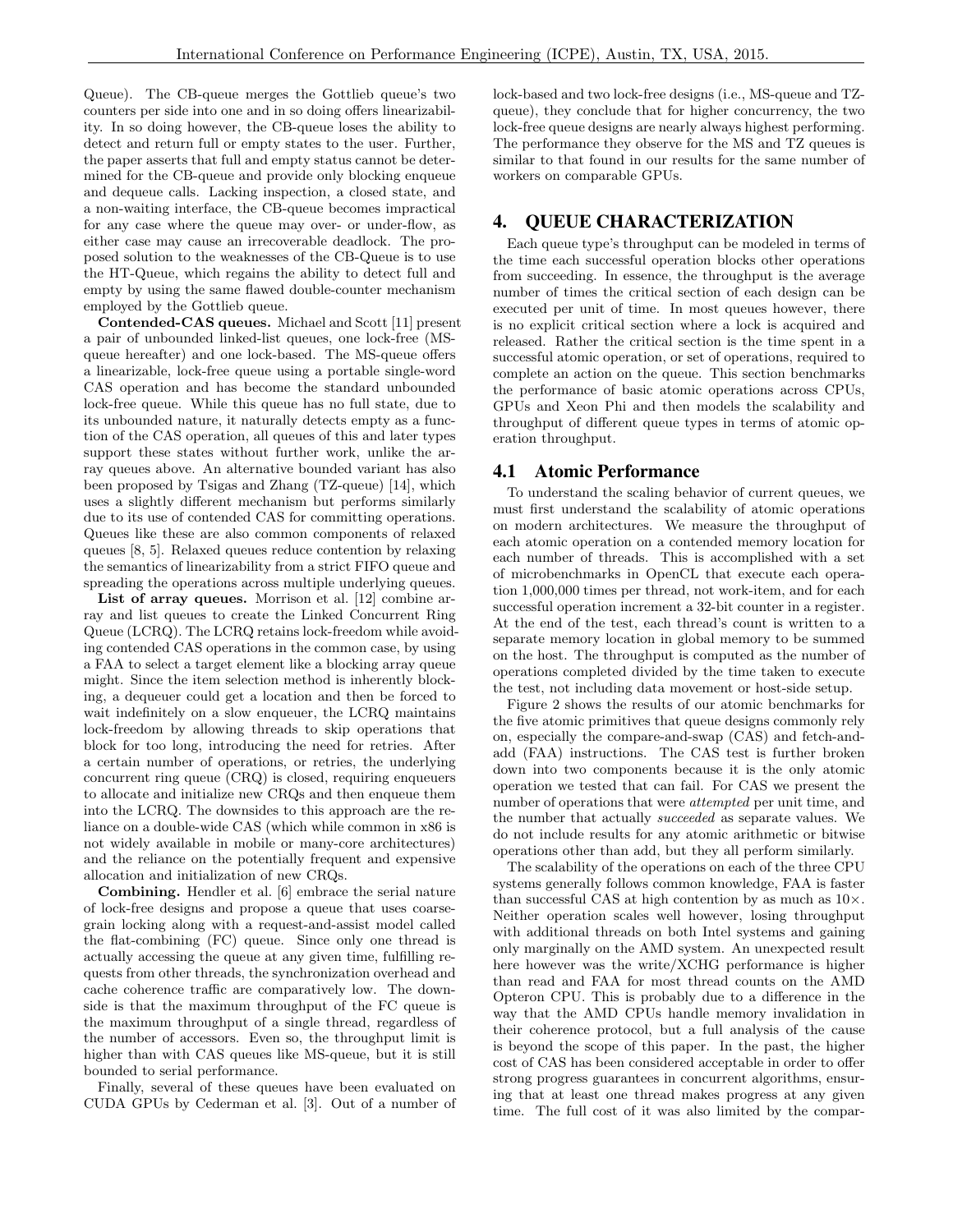Queue). The CB-queue merges the Gottlieb queue's two counters per side into one and in so doing offers linearizability. In so doing however, the CB-queue loses the ability to detect and return full or empty states to the user. Further, the paper asserts that full and empty status cannot be determined for the CB-queue and provide only blocking enqueue and dequeue calls. Lacking inspection, a closed state, and a non-waiting interface, the CB-queue becomes impractical for any case where the queue may over- or under-flow, as either case may cause an irrecoverable deadlock. The proposed solution to the weaknesses of the CB-Queue is to use the HT-Queue, which regains the ability to detect full and empty by using the same flawed double-counter mechanism employed by the Gottlieb queue.

Contended-CAS queues. Michael and Scott [11] present a pair of unbounded linked-list queues, one lock-free (MSqueue hereafter) and one lock-based. The MS-queue offers a linearizable, lock-free queue using a portable single-word CAS operation and has become the standard unbounded lock-free queue. While this queue has no full state, due to its unbounded nature, it naturally detects empty as a function of the CAS operation, all queues of this and later types support these states without further work, unlike the array queues above. An alternative bounded variant has also been proposed by Tsigas and Zhang (TZ-queue) [14], which uses a slightly different mechanism but performs similarly due to its use of contended CAS for committing operations. Queues like these are also common components of relaxed queues [8, 5]. Relaxed queues reduce contention by relaxing the semantics of linearizability from a strict FIFO queue and spreading the operations across multiple underlying queues.

List of array queues. Morrison et al. [12] combine array and list queues to create the Linked Concurrent Ring Queue (LCRQ). The LCRQ retains lock-freedom while avoiding contended CAS operations in the common case, by using a FAA to select a target element like a blocking array queue might. Since the item selection method is inherently blocking, a dequeuer could get a location and then be forced to wait indefinitely on a slow enqueuer, the LCRQ maintains lock-freedom by allowing threads to skip operations that block for too long, introducing the need for retries. After a certain number of operations, or retries, the underlying concurrent ring queue (CRQ) is closed, requiring enqueuers to allocate and initialize new CRQs and then enqueue them into the LCRQ. The downsides to this approach are the reliance on a double-wide CAS (which while common in x86 is not widely available in mobile or many-core architectures) and the reliance on the potentially frequent and expensive allocation and initialization of new CRQs.

Combining. Hendler et al. [6] embrace the serial nature of lock-free designs and propose a queue that uses coarsegrain locking along with a request-and-assist model called the flat-combining (FC) queue. Since only one thread is actually accessing the queue at any given time, fulfilling requests from other threads, the synchronization overhead and cache coherence traffic are comparatively low. The downside is that the maximum throughput of the FC queue is the maximum throughput of a single thread, regardless of the number of accessors. Even so, the throughput limit is higher than with CAS queues like MS-queue, but it is still bounded to serial performance.

Finally, several of these queues have been evaluated on CUDA GPUs by Cederman et al. [3]. Out of a number of lock-based and two lock-free designs (i.e., MS-queue and TZqueue), they conclude that for higher concurrency, the two lock-free queue designs are nearly always highest performing. The performance they observe for the MS and TZ queues is similar to that found in our results for the same number of workers on comparable GPUs.

## 4. QUEUE CHARACTERIZATION

Each queue type's throughput can be modeled in terms of the time each successful operation blocks other operations from succeeding. In essence, the throughput is the average number of times the critical section of each design can be executed per unit of time. In most queues however, there is no explicit critical section where a lock is acquired and released. Rather the critical section is the time spent in a successful atomic operation, or set of operations, required to complete an action on the queue. This section benchmarks the performance of basic atomic operations across CPUs, GPUs and Xeon Phi and then models the scalability and throughput of different queue types in terms of atomic operation throughput.

#### 4.1 Atomic Performance

To understand the scaling behavior of current queues, we must first understand the scalability of atomic operations on modern architectures. We measure the throughput of each atomic operation on a contended memory location for each number of threads. This is accomplished with a set of microbenchmarks in OpenCL that execute each operation 1,000,000 times per thread, not work-item, and for each successful operation increment a 32-bit counter in a register. At the end of the test, each thread's count is written to a separate memory location in global memory to be summed on the host. The throughput is computed as the number of operations completed divided by the time taken to execute the test, not including data movement or host-side setup.

Figure 2 shows the results of our atomic benchmarks for the five atomic primitives that queue designs commonly rely on, especially the compare-and-swap (CAS) and fetch-andadd (FAA) instructions. The CAS test is further broken down into two components because it is the only atomic operation we tested that can fail. For CAS we present the number of operations that were attempted per unit time, and the number that actually succeeded as separate values. We do not include results for any atomic arithmetic or bitwise operations other than add, but they all perform similarly.

The scalability of the operations on each of the three CPU systems generally follows common knowledge, FAA is faster than successful CAS at high contention by as much as 10×. Neither operation scales well however, losing throughput with additional threads on both Intel systems and gaining only marginally on the AMD system. An unexpected result here however was the write/XCHG performance is higher than read and FAA for most thread counts on the AMD Opteron CPU. This is probably due to a difference in the way that the AMD CPUs handle memory invalidation in their coherence protocol, but a full analysis of the cause is beyond the scope of this paper. In the past, the higher cost of CAS has been considered acceptable in order to offer strong progress guarantees in concurrent algorithms, ensuring that at least one thread makes progress at any given time. The full cost of it was also limited by the compar-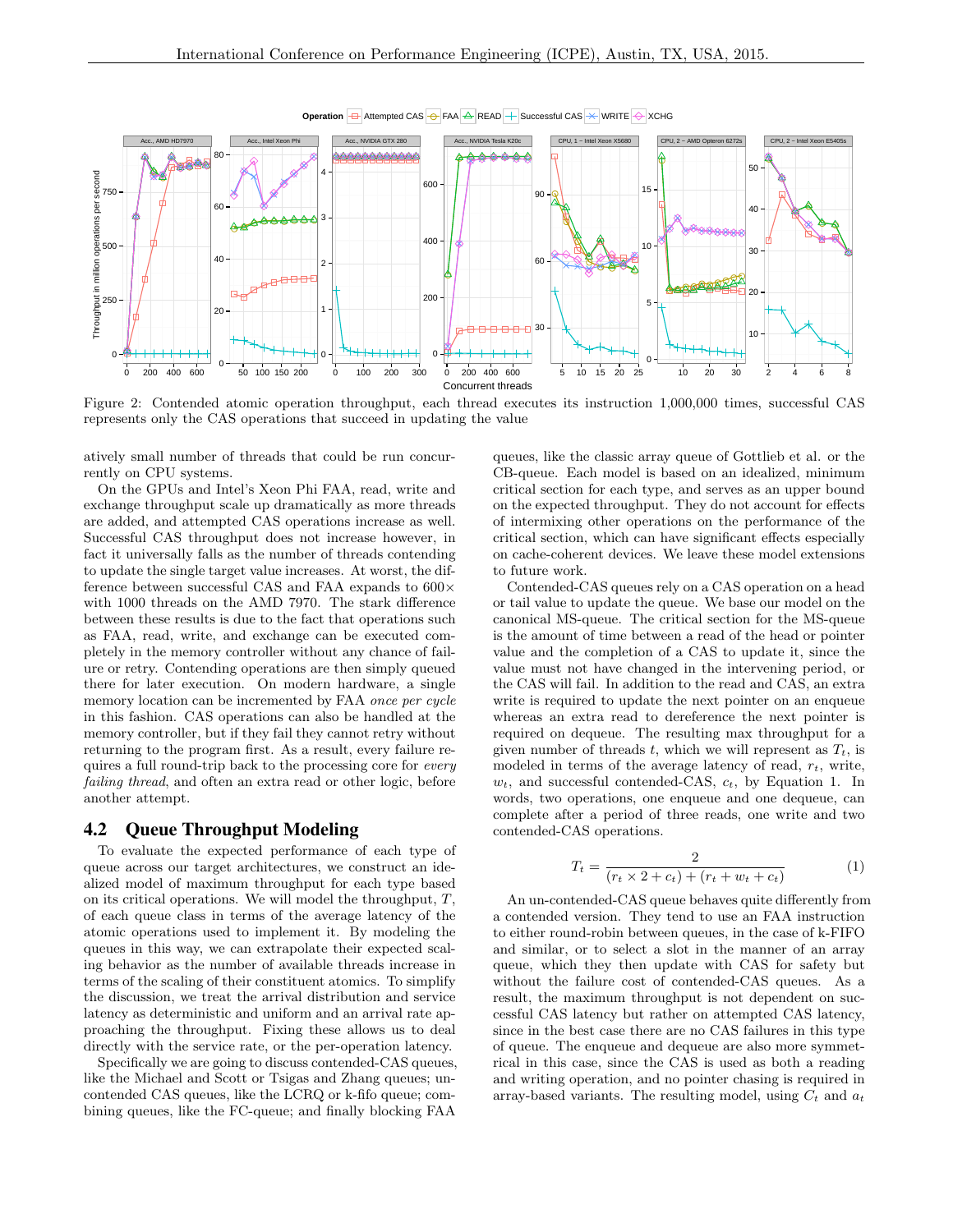

**Operation** <del>□</del> Attempted CAS  $\leftrightarrow$  FAA  $\triangle$  READ  $+$  Successful CAS  $\times$  WRITE  $\leftrightarrow$  XCHG

Figure 2: Contended atomic operation throughput, each thread executes its instruction 1,000,000 times, successful CAS represents only the CAS operations that succeed in updating the value

atively small number of threads that could be run concurrently on CPU systems.

On the GPUs and Intel's Xeon Phi FAA, read, write and exchange throughput scale up dramatically as more threads are added, and attempted CAS operations increase as well. Successful CAS throughput does not increase however, in fact it universally falls as the number of threads contending to update the single target value increases. At worst, the difference between successful CAS and FAA expands to 600× with 1000 threads on the AMD 7970. The stark difference between these results is due to the fact that operations such as FAA, read, write, and exchange can be executed completely in the memory controller without any chance of failure or retry. Contending operations are then simply queued there for later execution. On modern hardware, a single memory location can be incremented by FAA once per cycle in this fashion. CAS operations can also be handled at the memory controller, but if they fail they cannot retry without returning to the program first. As a result, every failure requires a full round-trip back to the processing core for every failing thread, and often an extra read or other logic, before another attempt.

#### 4.2 Queue Throughput Modeling

To evaluate the expected performance of each type of queue across our target architectures, we construct an idealized model of maximum throughput for each type based on its critical operations. We will model the throughput, T, of each queue class in terms of the average latency of the atomic operations used to implement it. By modeling the queues in this way, we can extrapolate their expected scaling behavior as the number of available threads increase in terms of the scaling of their constituent atomics. To simplify the discussion, we treat the arrival distribution and service latency as deterministic and uniform and an arrival rate approaching the throughput. Fixing these allows us to deal directly with the service rate, or the per-operation latency.

Specifically we are going to discuss contended-CAS queues, like the Michael and Scott or Tsigas and Zhang queues; uncontended CAS queues, like the LCRQ or k-fifo queue; combining queues, like the FC-queue; and finally blocking FAA

queues, like the classic array queue of Gottlieb et al. or the CB-queue. Each model is based on an idealized, minimum critical section for each type, and serves as an upper bound on the expected throughput. They do not account for effects of intermixing other operations on the performance of the critical section, which can have significant effects especially on cache-coherent devices. We leave these model extensions to future work.

Contended-CAS queues rely on a CAS operation on a head or tail value to update the queue. We base our model on the canonical MS-queue. The critical section for the MS-queue is the amount of time between a read of the head or pointer value and the completion of a CAS to update it, since the value must not have changed in the intervening period, or the CAS will fail. In addition to the read and CAS, an extra write is required to update the next pointer on an enqueue whereas an extra read to dereference the next pointer is required on dequeue. The resulting max throughput for a given number of threads t, which we will represent as  $T_t$ , is modeled in terms of the average latency of read,  $r_t$ , write,  $w_t$ , and successful contended-CAS,  $c_t$ , by Equation 1. In words, two operations, one enqueue and one dequeue, can complete after a period of three reads, one write and two contended-CAS operations.

$$
T_t = \frac{2}{(r_t \times 2 + c_t) + (r_t + w_t + c_t)}\tag{1}
$$

An un-contended-CAS queue behaves quite differently from a contended version. They tend to use an FAA instruction to either round-robin between queues, in the case of k-FIFO and similar, or to select a slot in the manner of an array queue, which they then update with CAS for safety but without the failure cost of contended-CAS queues. As a result, the maximum throughput is not dependent on successful CAS latency but rather on attempted CAS latency, since in the best case there are no CAS failures in this type of queue. The enqueue and dequeue are also more symmetrical in this case, since the CAS is used as both a reading and writing operation, and no pointer chasing is required in array-based variants. The resulting model, using  $C_t$  and  $a_t$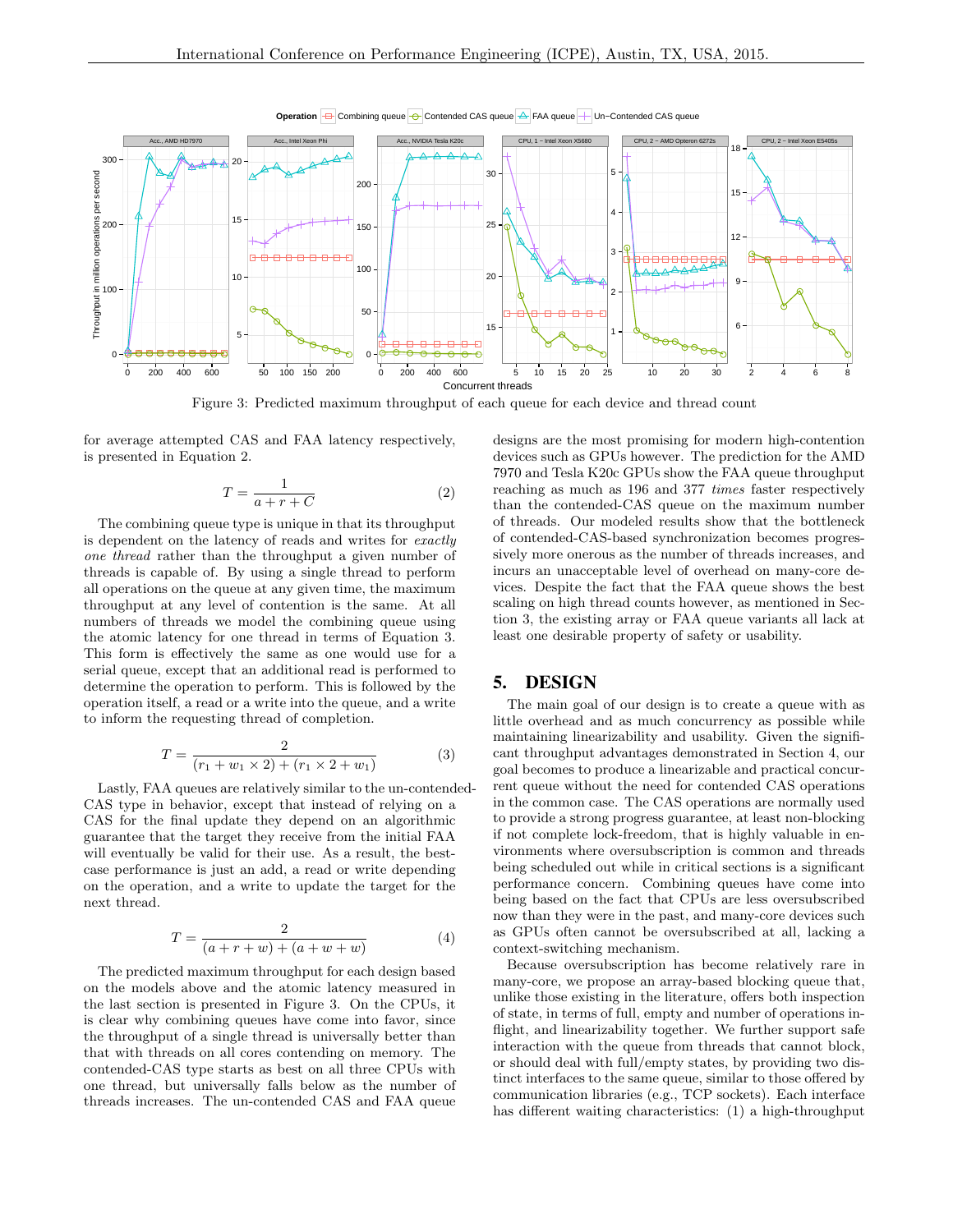

**Operation** <del>□</del> Combining queue  $\rightarrow$  Contended CAS queue  $\rightarrow$  FAA queue  $\rightarrow$  Un–Contended CAS queue

Figure 3: Predicted maximum throughput of each queue for each device and thread count

for average attempted CAS and FAA latency respectively, is presented in Equation 2.

$$
T = \frac{1}{a+r+C} \tag{2}
$$

The combining queue type is unique in that its throughput is dependent on the latency of reads and writes for exactly one thread rather than the throughput a given number of threads is capable of. By using a single thread to perform all operations on the queue at any given time, the maximum throughput at any level of contention is the same. At all numbers of threads we model the combining queue using the atomic latency for one thread in terms of Equation 3. This form is effectively the same as one would use for a serial queue, except that an additional read is performed to determine the operation to perform. This is followed by the operation itself, a read or a write into the queue, and a write to inform the requesting thread of completion.

$$
T = \frac{2}{(r_1 + w_1 \times 2) + (r_1 \times 2 + w_1)}
$$
(3)

Lastly, FAA queues are relatively similar to the un-contended-CAS type in behavior, except that instead of relying on a CAS for the final update they depend on an algorithmic guarantee that the target they receive from the initial FAA will eventually be valid for their use. As a result, the bestcase performance is just an add, a read or write depending on the operation, and a write to update the target for the next thread.

$$
T = \frac{2}{(a+r+w) + (a+w+w)}\tag{4}
$$

The predicted maximum throughput for each design based on the models above and the atomic latency measured in the last section is presented in Figure 3. On the CPUs, it is clear why combining queues have come into favor, since the throughput of a single thread is universally better than that with threads on all cores contending on memory. The contended-CAS type starts as best on all three CPUs with one thread, but universally falls below as the number of threads increases. The un-contended CAS and FAA queue

designs are the most promising for modern high-contention devices such as GPUs however. The prediction for the AMD 7970 and Tesla K20c GPUs show the FAA queue throughput reaching as much as 196 and 377 times faster respectively than the contended-CAS queue on the maximum number of threads. Our modeled results show that the bottleneck of contended-CAS-based synchronization becomes progressively more onerous as the number of threads increases, and incurs an unacceptable level of overhead on many-core devices. Despite the fact that the FAA queue shows the best scaling on high thread counts however, as mentioned in Section 3, the existing array or FAA queue variants all lack at least one desirable property of safety or usability.

## 5. DESIGN

The main goal of our design is to create a queue with as little overhead and as much concurrency as possible while maintaining linearizability and usability. Given the significant throughput advantages demonstrated in Section 4, our goal becomes to produce a linearizable and practical concurrent queue without the need for contended CAS operations in the common case. The CAS operations are normally used to provide a strong progress guarantee, at least non-blocking if not complete lock-freedom, that is highly valuable in environments where oversubscription is common and threads being scheduled out while in critical sections is a significant performance concern. Combining queues have come into being based on the fact that CPUs are less oversubscribed now than they were in the past, and many-core devices such as GPUs often cannot be oversubscribed at all, lacking a context-switching mechanism.

Because oversubscription has become relatively rare in many-core, we propose an array-based blocking queue that, unlike those existing in the literature, offers both inspection of state, in terms of full, empty and number of operations inflight, and linearizability together. We further support safe interaction with the queue from threads that cannot block, or should deal with full/empty states, by providing two distinct interfaces to the same queue, similar to those offered by communication libraries (e.g., TCP sockets). Each interface has different waiting characteristics: (1) a high-throughput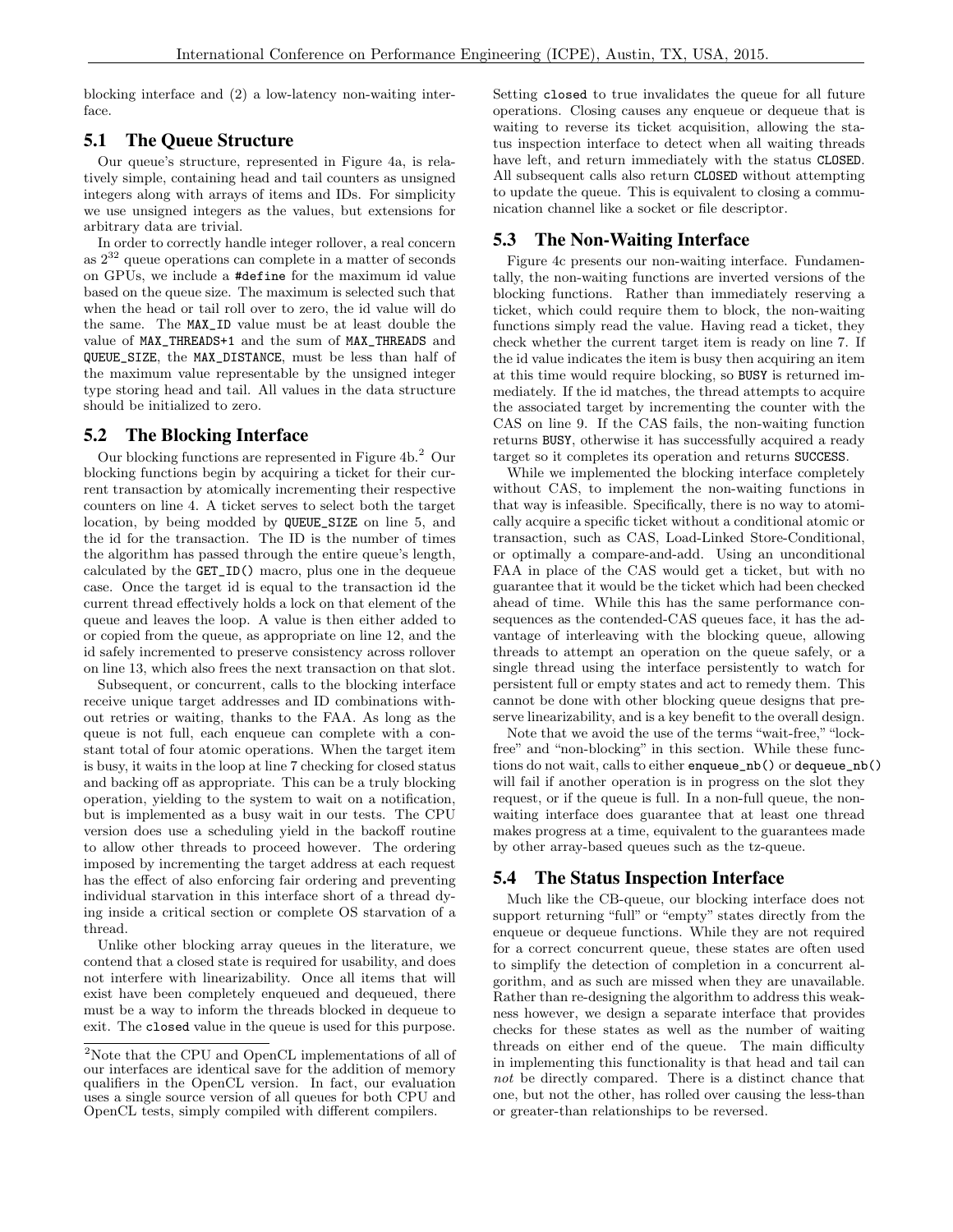blocking interface and (2) a low-latency non-waiting interface.

# 5.1 The Queue Structure

Our queue's structure, represented in Figure 4a, is relatively simple, containing head and tail counters as unsigned integers along with arrays of items and IDs. For simplicity we use unsigned integers as the values, but extensions for arbitrary data are trivial.

In order to correctly handle integer rollover, a real concern as  $2^{32}$  queue operations can complete in a matter of seconds on GPUs, we include a #define for the maximum id value based on the queue size. The maximum is selected such that when the head or tail roll over to zero, the id value will do the same. The MAX\_ID value must be at least double the value of MAX\_THREADS+1 and the sum of MAX\_THREADS and QUEUE\_SIZE, the MAX\_DISTANCE, must be less than half of the maximum value representable by the unsigned integer type storing head and tail. All values in the data structure should be initialized to zero.

#### 5.2 The Blocking Interface

Our blocking functions are represented in Figure 4b.<sup>2</sup> Our blocking functions begin by acquiring a ticket for their current transaction by atomically incrementing their respective counters on line 4. A ticket serves to select both the target location, by being modded by QUEUE\_SIZE on line 5, and the id for the transaction. The ID is the number of times the algorithm has passed through the entire queue's length, calculated by the GET\_ID() macro, plus one in the dequeue case. Once the target id is equal to the transaction id the current thread effectively holds a lock on that element of the queue and leaves the loop. A value is then either added to or copied from the queue, as appropriate on line 12, and the id safely incremented to preserve consistency across rollover on line 13, which also frees the next transaction on that slot.

Subsequent, or concurrent, calls to the blocking interface receive unique target addresses and ID combinations without retries or waiting, thanks to the FAA. As long as the queue is not full, each enqueue can complete with a constant total of four atomic operations. When the target item is busy, it waits in the loop at line 7 checking for closed status and backing off as appropriate. This can be a truly blocking operation, yielding to the system to wait on a notification, but is implemented as a busy wait in our tests. The CPU version does use a scheduling yield in the backoff routine to allow other threads to proceed however. The ordering imposed by incrementing the target address at each request has the effect of also enforcing fair ordering and preventing individual starvation in this interface short of a thread dying inside a critical section or complete OS starvation of a thread.

Unlike other blocking array queues in the literature, we contend that a closed state is required for usability, and does not interfere with linearizability. Once all items that will exist have been completely enqueued and dequeued, there must be a way to inform the threads blocked in dequeue to exit. The closed value in the queue is used for this purpose.

Setting closed to true invalidates the queue for all future operations. Closing causes any enqueue or dequeue that is waiting to reverse its ticket acquisition, allowing the status inspection interface to detect when all waiting threads have left, and return immediately with the status CLOSED. All subsequent calls also return CLOSED without attempting to update the queue. This is equivalent to closing a communication channel like a socket or file descriptor.

## 5.3 The Non-Waiting Interface

Figure 4c presents our non-waiting interface. Fundamentally, the non-waiting functions are inverted versions of the blocking functions. Rather than immediately reserving a ticket, which could require them to block, the non-waiting functions simply read the value. Having read a ticket, they check whether the current target item is ready on line 7. If the id value indicates the item is busy then acquiring an item at this time would require blocking, so BUSY is returned immediately. If the id matches, the thread attempts to acquire the associated target by incrementing the counter with the CAS on line 9. If the CAS fails, the non-waiting function returns BUSY, otherwise it has successfully acquired a ready target so it completes its operation and returns SUCCESS.

While we implemented the blocking interface completely without CAS, to implement the non-waiting functions in that way is infeasible. Specifically, there is no way to atomically acquire a specific ticket without a conditional atomic or transaction, such as CAS, Load-Linked Store-Conditional, or optimally a compare-and-add. Using an unconditional FAA in place of the CAS would get a ticket, but with no guarantee that it would be the ticket which had been checked ahead of time. While this has the same performance consequences as the contended-CAS queues face, it has the advantage of interleaving with the blocking queue, allowing threads to attempt an operation on the queue safely, or a single thread using the interface persistently to watch for persistent full or empty states and act to remedy them. This cannot be done with other blocking queue designs that preserve linearizability, and is a key benefit to the overall design.

Note that we avoid the use of the terms "wait-free," "lockfree" and "non-blocking" in this section. While these functions do not wait, calls to either enqueue\_nb() or dequeue\_nb() will fail if another operation is in progress on the slot they request, or if the queue is full. In a non-full queue, the nonwaiting interface does guarantee that at least one thread makes progress at a time, equivalent to the guarantees made by other array-based queues such as the tz-queue.

#### 5.4 The Status Inspection Interface

Much like the CB-queue, our blocking interface does not support returning "full" or "empty" states directly from the enqueue or dequeue functions. While they are not required for a correct concurrent queue, these states are often used to simplify the detection of completion in a concurrent algorithm, and as such are missed when they are unavailable. Rather than re-designing the algorithm to address this weakness however, we design a separate interface that provides checks for these states as well as the number of waiting threads on either end of the queue. The main difficulty in implementing this functionality is that head and tail can not be directly compared. There is a distinct chance that one, but not the other, has rolled over causing the less-than or greater-than relationships to be reversed.

 $^{2}$  Note that the CPU and OpenCL implementations of all of our interfaces are identical save for the addition of memory qualifiers in the OpenCL version. In fact, our evaluation uses a single source version of all queues for both CPU and OpenCL tests, simply compiled with different compilers.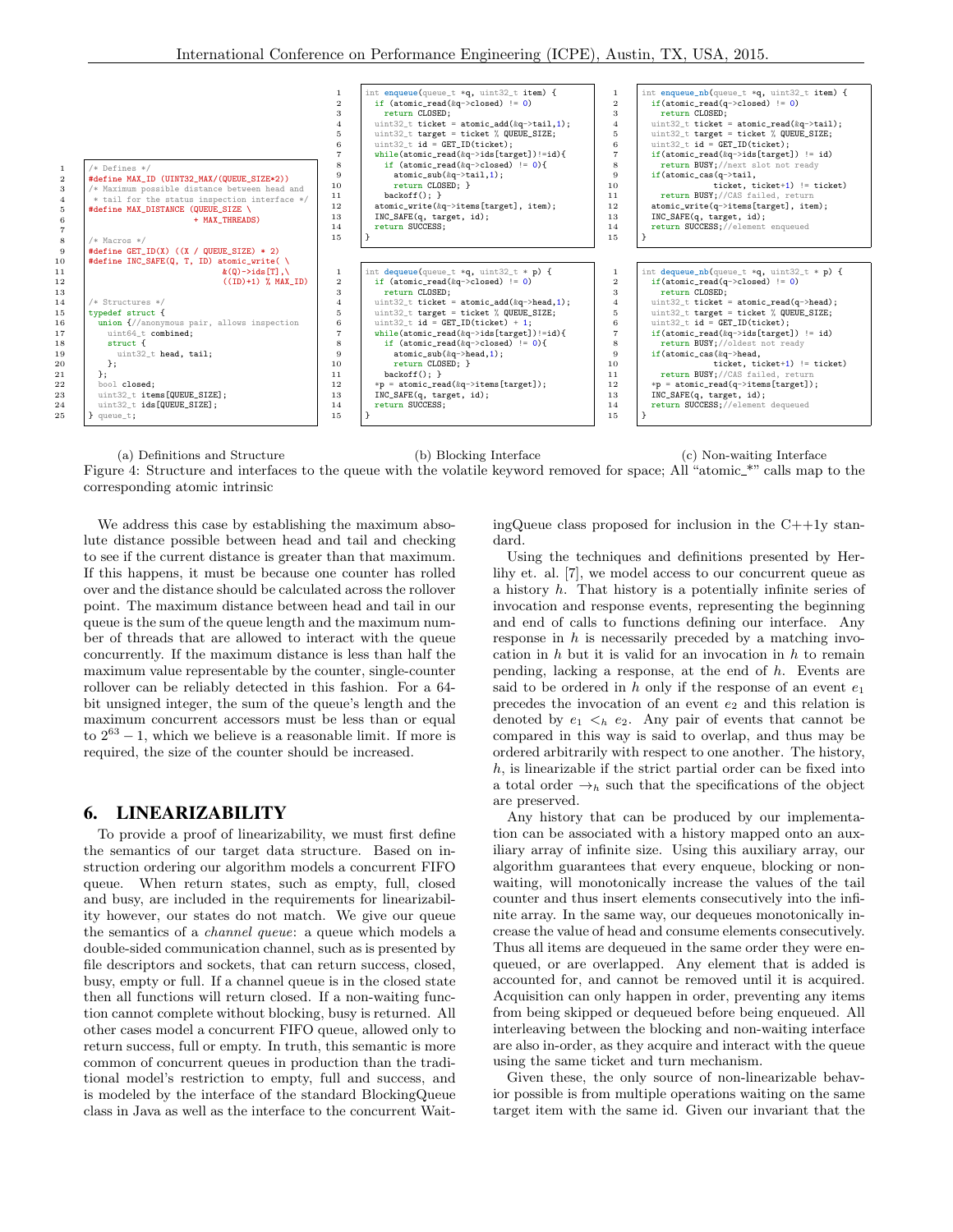

(a) Definitions and Structure

(b) Blocking Interface

(c) Non-waiting Interface

Figure 4: Structure and interfaces to the queue with the volatile keyword removed for space; All "atomic\_\*" calls map to the corresponding atomic intrinsic

We address this case by establishing the maximum absolute distance possible between head and tail and checking to see if the current distance is greater than that maximum. If this happens, it must be because one counter has rolled over and the distance should be calculated across the rollover point. The maximum distance between head and tail in our queue is the sum of the queue length and the maximum number of threads that are allowed to interact with the queue concurrently. If the maximum distance is less than half the maximum value representable by the counter, single-counter rollover can be reliably detected in this fashion. For a 64 bit unsigned integer, the sum of the queue's length and the maximum concurrent accessors must be less than or equal to  $2^{63} - 1$ , which we believe is a reasonable limit. If more is required, the size of the counter should be increased.

## 6. LINEARIZABILITY

To provide a proof of linearizability, we must first define the semantics of our target data structure. Based on instruction ordering our algorithm models a concurrent FIFO queue. When return states, such as empty, full, closed and busy, are included in the requirements for linearizability however, our states do not match. We give our queue the semantics of a channel queue: a queue which models a double-sided communication channel, such as is presented by file descriptors and sockets, that can return success, closed, busy, empty or full. If a channel queue is in the closed state then all functions will return closed. If a non-waiting function cannot complete without blocking, busy is returned. All other cases model a concurrent FIFO queue, allowed only to return success, full or empty. In truth, this semantic is more common of concurrent queues in production than the traditional model's restriction to empty, full and success, and is modeled by the interface of the standard BlockingQueue class in Java as well as the interface to the concurrent WaitingQueue class proposed for inclusion in the  $C++1y$  standard.

Using the techniques and definitions presented by Herlihy et. al. [7], we model access to our concurrent queue as a history h. That history is a potentially infinite series of invocation and response events, representing the beginning and end of calls to functions defining our interface. Any response in  $h$  is necessarily preceded by a matching invocation in  $h$  but it is valid for an invocation in  $h$  to remain pending, lacking a response, at the end of h. Events are said to be ordered in  $h$  only if the response of an event  $e_1$ precedes the invocation of an event  $e_2$  and this relation is denoted by  $e_1 \leq_h e_2$ . Any pair of events that cannot be compared in this way is said to overlap, and thus may be ordered arbitrarily with respect to one another. The history, h, is linearizable if the strict partial order can be fixed into a total order  $\rightarrow_h$  such that the specifications of the object are preserved.

Any history that can be produced by our implementation can be associated with a history mapped onto an auxiliary array of infinite size. Using this auxiliary array, our algorithm guarantees that every enqueue, blocking or nonwaiting, will monotonically increase the values of the tail counter and thus insert elements consecutively into the infinite array. In the same way, our dequeues monotonically increase the value of head and consume elements consecutively. Thus all items are dequeued in the same order they were enqueued, or are overlapped. Any element that is added is accounted for, and cannot be removed until it is acquired. Acquisition can only happen in order, preventing any items from being skipped or dequeued before being enqueued. All interleaving between the blocking and non-waiting interface are also in-order, as they acquire and interact with the queue using the same ticket and turn mechanism.

Given these, the only source of non-linearizable behavior possible is from multiple operations waiting on the same target item with the same id. Given our invariant that the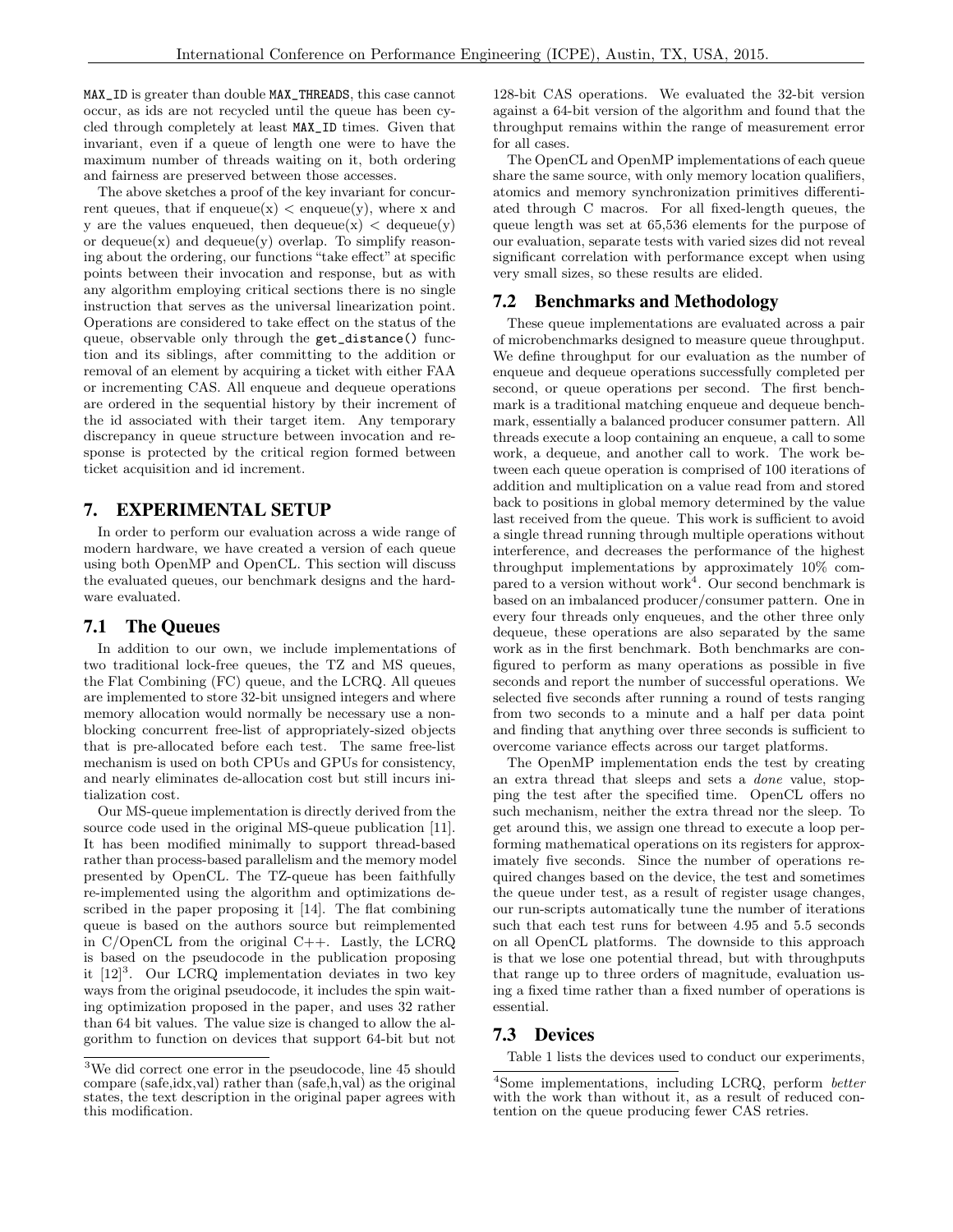MAX\_ID is greater than double MAX\_THREADS, this case cannot occur, as ids are not recycled until the queue has been cycled through completely at least MAX\_ID times. Given that invariant, even if a queue of length one were to have the maximum number of threads waiting on it, both ordering and fairness are preserved between those accesses.

The above sketches a proof of the key invariant for concurrent queues, that if enqueue $(x)$  < enqueue $(y)$ , where x and y are the values enqueued, then dequeue $(x) <$  dequeue $(y)$ or dequeue $(x)$  and dequeue $(y)$  overlap. To simplify reasoning about the ordering, our functions "take effect" at specific points between their invocation and response, but as with any algorithm employing critical sections there is no single instruction that serves as the universal linearization point. Operations are considered to take effect on the status of the queue, observable only through the get\_distance() function and its siblings, after committing to the addition or removal of an element by acquiring a ticket with either FAA or incrementing CAS. All enqueue and dequeue operations are ordered in the sequential history by their increment of the id associated with their target item. Any temporary discrepancy in queue structure between invocation and response is protected by the critical region formed between ticket acquisition and id increment.

#### 7. EXPERIMENTAL SETUP

In order to perform our evaluation across a wide range of modern hardware, we have created a version of each queue using both OpenMP and OpenCL. This section will discuss the evaluated queues, our benchmark designs and the hardware evaluated.

#### 7.1 The Queues

In addition to our own, we include implementations of two traditional lock-free queues, the TZ and MS queues, the Flat Combining (FC) queue, and the LCRQ. All queues are implemented to store 32-bit unsigned integers and where memory allocation would normally be necessary use a nonblocking concurrent free-list of appropriately-sized objects that is pre-allocated before each test. The same free-list mechanism is used on both CPUs and GPUs for consistency, and nearly eliminates de-allocation cost but still incurs initialization cost.

Our MS-queue implementation is directly derived from the source code used in the original MS-queue publication [11]. It has been modified minimally to support thread-based rather than process-based parallelism and the memory model presented by OpenCL. The TZ-queue has been faithfully re-implemented using the algorithm and optimizations described in the paper proposing it [14]. The flat combining queue is based on the authors source but reimplemented in C/OpenCL from the original C++. Lastly, the LCRQ is based on the pseudocode in the publication proposing it  $[12]^3$ . Our LCRQ implementation deviates in two key ways from the original pseudocode, it includes the spin waiting optimization proposed in the paper, and uses 32 rather than 64 bit values. The value size is changed to allow the algorithm to function on devices that support 64-bit but not

128-bit CAS operations. We evaluated the 32-bit version against a 64-bit version of the algorithm and found that the throughput remains within the range of measurement error for all cases.

The OpenCL and OpenMP implementations of each queue share the same source, with only memory location qualifiers, atomics and memory synchronization primitives differentiated through C macros. For all fixed-length queues, the queue length was set at 65,536 elements for the purpose of our evaluation, separate tests with varied sizes did not reveal significant correlation with performance except when using very small sizes, so these results are elided.

#### 7.2 Benchmarks and Methodology

These queue implementations are evaluated across a pair of microbenchmarks designed to measure queue throughput. We define throughput for our evaluation as the number of enqueue and dequeue operations successfully completed per second, or queue operations per second. The first benchmark is a traditional matching enqueue and dequeue benchmark, essentially a balanced producer consumer pattern. All threads execute a loop containing an enqueue, a call to some work, a dequeue, and another call to work. The work between each queue operation is comprised of 100 iterations of addition and multiplication on a value read from and stored back to positions in global memory determined by the value last received from the queue. This work is sufficient to avoid a single thread running through multiple operations without interference, and decreases the performance of the highest throughput implementations by approximately 10% compared to a version without work<sup>4</sup>. Our second benchmark is based on an imbalanced producer/consumer pattern. One in every four threads only enqueues, and the other three only dequeue, these operations are also separated by the same work as in the first benchmark. Both benchmarks are configured to perform as many operations as possible in five seconds and report the number of successful operations. We selected five seconds after running a round of tests ranging from two seconds to a minute and a half per data point and finding that anything over three seconds is sufficient to overcome variance effects across our target platforms.

The OpenMP implementation ends the test by creating an extra thread that sleeps and sets a done value, stopping the test after the specified time. OpenCL offers no such mechanism, neither the extra thread nor the sleep. To get around this, we assign one thread to execute a loop performing mathematical operations on its registers for approximately five seconds. Since the number of operations required changes based on the device, the test and sometimes the queue under test, as a result of register usage changes, our run-scripts automatically tune the number of iterations such that each test runs for between 4.95 and 5.5 seconds on all OpenCL platforms. The downside to this approach is that we lose one potential thread, but with throughputs that range up to three orders of magnitude, evaluation using a fixed time rather than a fixed number of operations is essential.

## 7.3 Devices

Table 1 lists the devices used to conduct our experiments,

<sup>3</sup>We did correct one error in the pseudocode, line 45 should compare (safe,idx,val) rather than (safe,h,val) as the original states, the text description in the original paper agrees with this modification.

<sup>4</sup>Some implementations, including LCRQ, perform better with the work than without it, as a result of reduced contention on the queue producing fewer CAS retries.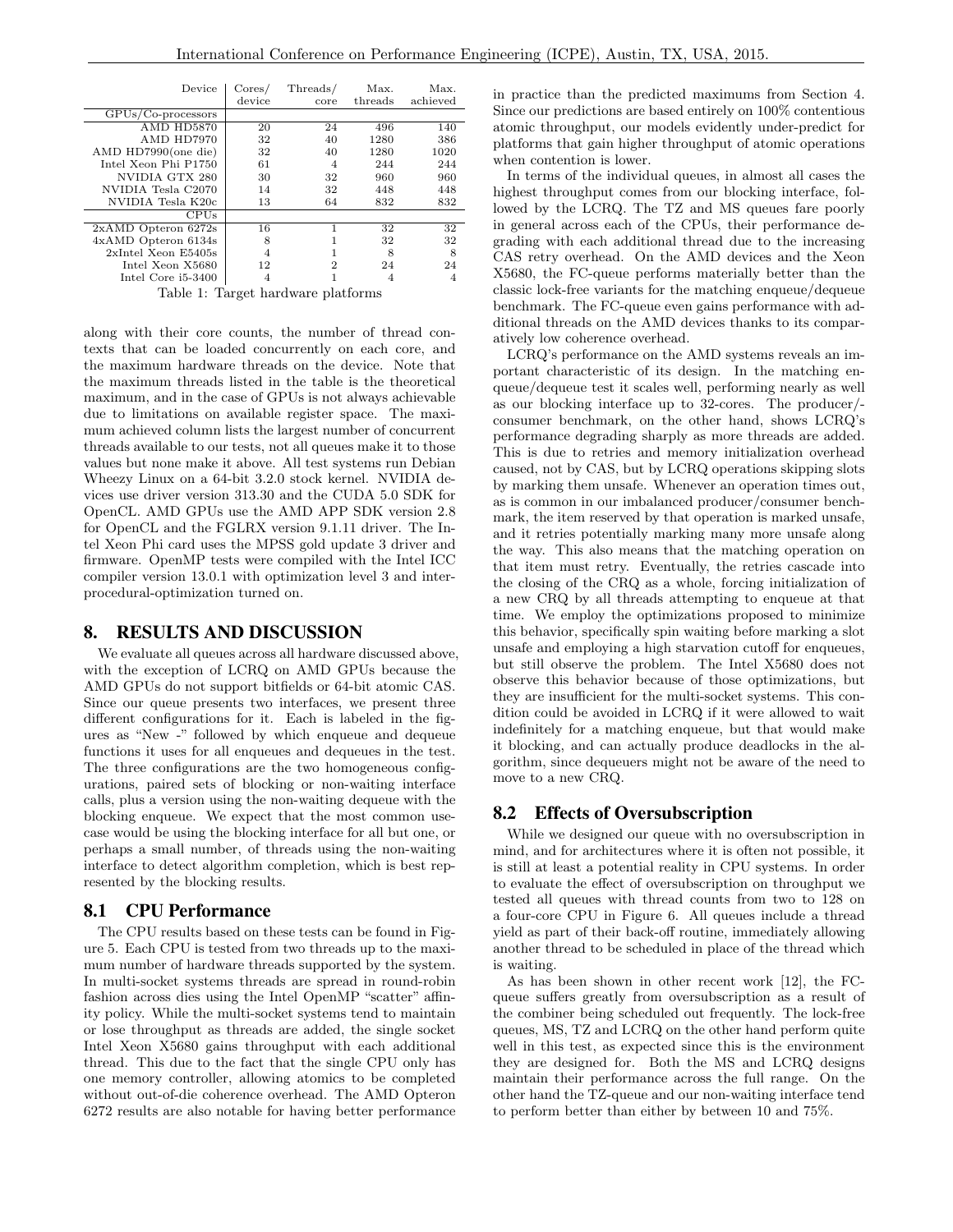| Device               | $\rm Cores/$<br>device | Threads/ | Max.<br>th reads | Max.<br>achieved |
|----------------------|------------------------|----------|------------------|------------------|
| GPUs/Co-processors   |                        | core     |                  |                  |
| AMD HD5870           | 20                     | 24       | 496              | 140              |
| AMD HD7970           | 32                     | 40       | 1280             | 386              |
| AMD HD7990(one die)  | 32                     | 40       | 1280             | 1020             |
| Intel Xeon Phi P1750 | 61                     | 4        | 244              | 244              |
| NVIDIA GTX 280       | 30                     | 32       | 960              | 960              |
| NVIDIA Tesla C2070   | 14                     | 32       | 448              | 448              |
| NVIDIA Tesla K20c    | 13                     | 64       | 832              | 832              |
| CPUs                 |                        |          |                  |                  |
| 2xAMD Opteron 6272s  | 16                     |          | 32               | 32               |
| 4xAMD Opteron 6134s  | 8                      |          | 32               | 32               |
| 2xIntel Xeon E5405s  | 4                      |          | 8                | 8                |
| Intel Xeon X5680     | 12                     | 2        | 24               | 24               |
| Intel Core i5-3400   | 4                      |          | 4                |                  |

Table 1: Target hardware platforms

along with their core counts, the number of thread contexts that can be loaded concurrently on each core, and the maximum hardware threads on the device. Note that the maximum threads listed in the table is the theoretical maximum, and in the case of GPUs is not always achievable due to limitations on available register space. The maximum achieved column lists the largest number of concurrent threads available to our tests, not all queues make it to those values but none make it above. All test systems run Debian Wheezy Linux on a 64-bit 3.2.0 stock kernel. NVIDIA devices use driver version 313.30 and the CUDA 5.0 SDK for OpenCL. AMD GPUs use the AMD APP SDK version 2.8 for OpenCL and the FGLRX version 9.1.11 driver. The Intel Xeon Phi card uses the MPSS gold update 3 driver and firmware. OpenMP tests were compiled with the Intel ICC compiler version 13.0.1 with optimization level 3 and interprocedural-optimization turned on.

#### 8. RESULTS AND DISCUSSION

We evaluate all queues across all hardware discussed above. with the exception of LCRQ on AMD GPUs because the AMD GPUs do not support bitfields or 64-bit atomic CAS. Since our queue presents two interfaces, we present three different configurations for it. Each is labeled in the figures as "New -" followed by which enqueue and dequeue functions it uses for all enqueues and dequeues in the test. The three configurations are the two homogeneous configurations, paired sets of blocking or non-waiting interface calls, plus a version using the non-waiting dequeue with the blocking enqueue. We expect that the most common usecase would be using the blocking interface for all but one, or perhaps a small number, of threads using the non-waiting interface to detect algorithm completion, which is best represented by the blocking results.

#### 8.1 CPU Performance

The CPU results based on these tests can be found in Figure 5. Each CPU is tested from two threads up to the maximum number of hardware threads supported by the system. In multi-socket systems threads are spread in round-robin fashion across dies using the Intel OpenMP "scatter" affinity policy. While the multi-socket systems tend to maintain or lose throughput as threads are added, the single socket Intel Xeon X5680 gains throughput with each additional thread. This due to the fact that the single CPU only has one memory controller, allowing atomics to be completed without out-of-die coherence overhead. The AMD Opteron 6272 results are also notable for having better performance in practice than the predicted maximums from Section 4. Since our predictions are based entirely on 100% contentious atomic throughput, our models evidently under-predict for platforms that gain higher throughput of atomic operations when contention is lower.

In terms of the individual queues, in almost all cases the highest throughput comes from our blocking interface, followed by the LCRQ. The TZ and MS queues fare poorly in general across each of the CPUs, their performance degrading with each additional thread due to the increasing CAS retry overhead. On the AMD devices and the Xeon X5680, the FC-queue performs materially better than the classic lock-free variants for the matching enqueue/dequeue benchmark. The FC-queue even gains performance with additional threads on the AMD devices thanks to its comparatively low coherence overhead.

LCRQ's performance on the AMD systems reveals an important characteristic of its design. In the matching enqueue/dequeue test it scales well, performing nearly as well as our blocking interface up to 32-cores. The producer/ consumer benchmark, on the other hand, shows LCRQ's performance degrading sharply as more threads are added. This is due to retries and memory initialization overhead caused, not by CAS, but by LCRQ operations skipping slots by marking them unsafe. Whenever an operation times out, as is common in our imbalanced producer/consumer benchmark, the item reserved by that operation is marked unsafe, and it retries potentially marking many more unsafe along the way. This also means that the matching operation on that item must retry. Eventually, the retries cascade into the closing of the CRQ as a whole, forcing initialization of a new CRQ by all threads attempting to enqueue at that time. We employ the optimizations proposed to minimize this behavior, specifically spin waiting before marking a slot unsafe and employing a high starvation cutoff for enqueues, but still observe the problem. The Intel X5680 does not observe this behavior because of those optimizations, but they are insufficient for the multi-socket systems. This condition could be avoided in LCRQ if it were allowed to wait indefinitely for a matching enqueue, but that would make it blocking, and can actually produce deadlocks in the algorithm, since dequeuers might not be aware of the need to move to a new CRQ.

#### 8.2 Effects of Oversubscription

While we designed our queue with no oversubscription in mind, and for architectures where it is often not possible, it is still at least a potential reality in CPU systems. In order to evaluate the effect of oversubscription on throughput we tested all queues with thread counts from two to 128 on a four-core CPU in Figure 6. All queues include a thread yield as part of their back-off routine, immediately allowing another thread to be scheduled in place of the thread which is waiting.

As has been shown in other recent work [12], the FCqueue suffers greatly from oversubscription as a result of the combiner being scheduled out frequently. The lock-free queues, MS, TZ and LCRQ on the other hand perform quite well in this test, as expected since this is the environment they are designed for. Both the MS and LCRQ designs maintain their performance across the full range. On the other hand the TZ-queue and our non-waiting interface tend to perform better than either by between 10 and 75%.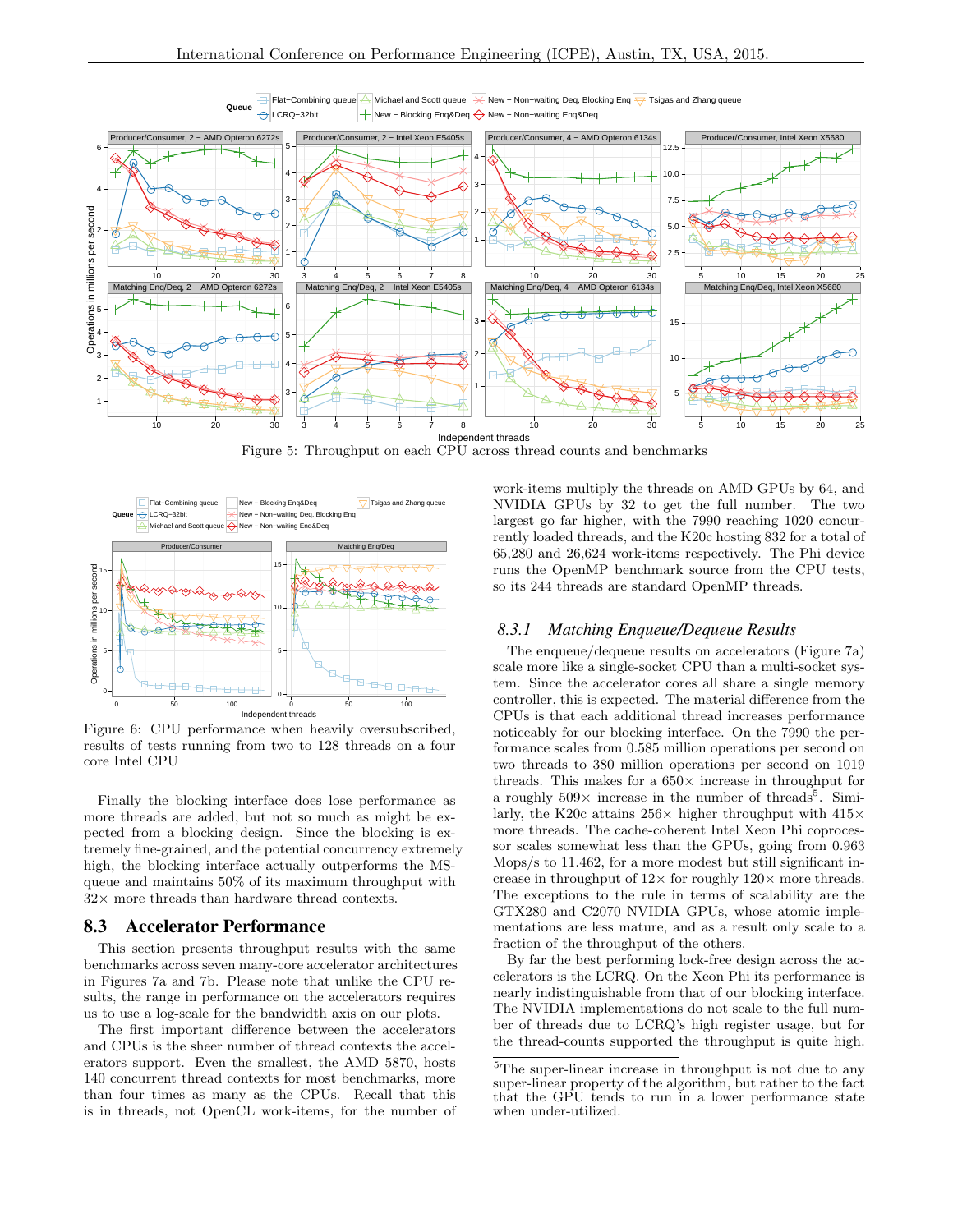

Independent threads Figure 5: Throughput on each CPU across thread counts and benchmarks



Figure 6: CPU performance when heavily oversubscribed, results of tests running from two to 128 threads on a four core Intel CPU

Finally the blocking interface does lose performance as more threads are added, but not so much as might be expected from a blocking design. Since the blocking is extremely fine-grained, and the potential concurrency extremely high, the blocking interface actually outperforms the MSqueue and maintains 50% of its maximum throughput with  $32\times$  more threads than hardware thread contexts.

#### 8.3 Accelerator Performance

This section presents throughput results with the same benchmarks across seven many-core accelerator architectures in Figures 7a and 7b. Please note that unlike the CPU results, the range in performance on the accelerators requires us to use a log-scale for the bandwidth axis on our plots.

The first important difference between the accelerators and CPUs is the sheer number of thread contexts the accelerators support. Even the smallest, the AMD 5870, hosts 140 concurrent thread contexts for most benchmarks, more than four times as many as the CPUs. Recall that this is in threads, not OpenCL work-items, for the number of work-items multiply the threads on AMD GPUs by 64, and NVIDIA GPUs by 32 to get the full number. The two largest go far higher, with the 7990 reaching 1020 concurrently loaded threads, and the K20c hosting 832 for a total of 65,280 and 26,624 work-items respectively. The Phi device runs the OpenMP benchmark source from the CPU tests, so its 244 threads are standard OpenMP threads.

#### *8.3.1 Matching Enqueue/Dequeue Results*

The enqueue/dequeue results on accelerators (Figure 7a) scale more like a single-socket CPU than a multi-socket system. Since the accelerator cores all share a single memory controller, this is expected. The material difference from the CPUs is that each additional thread increases performance noticeably for our blocking interface. On the 7990 the performance scales from 0.585 million operations per second on two threads to 380 million operations per second on 1019 threads. This makes for a  $650\times$  increase in throughput for a roughly  $509 \times$  increase in the number of threads<sup>5</sup>. Similarly, the K20c attains  $256\times$  higher throughput with  $415\times$ more threads. The cache-coherent Intel Xeon Phi coprocessor scales somewhat less than the GPUs, going from 0.963 Mops/s to 11.462, for a more modest but still significant increase in throughput of  $12\times$  for roughly  $120\times$  more threads. The exceptions to the rule in terms of scalability are the GTX280 and C2070 NVIDIA GPUs, whose atomic implementations are less mature, and as a result only scale to a fraction of the throughput of the others.

By far the best performing lock-free design across the accelerators is the LCRQ. On the Xeon Phi its performance is nearly indistinguishable from that of our blocking interface. The NVIDIA implementations do not scale to the full number of threads due to LCRQ's high register usage, but for the thread-counts supported the throughput is quite high.

<sup>5</sup>The super-linear increase in throughput is not due to any super-linear property of the algorithm, but rather to the fact that the GPU tends to run in a lower performance state when under-utilized.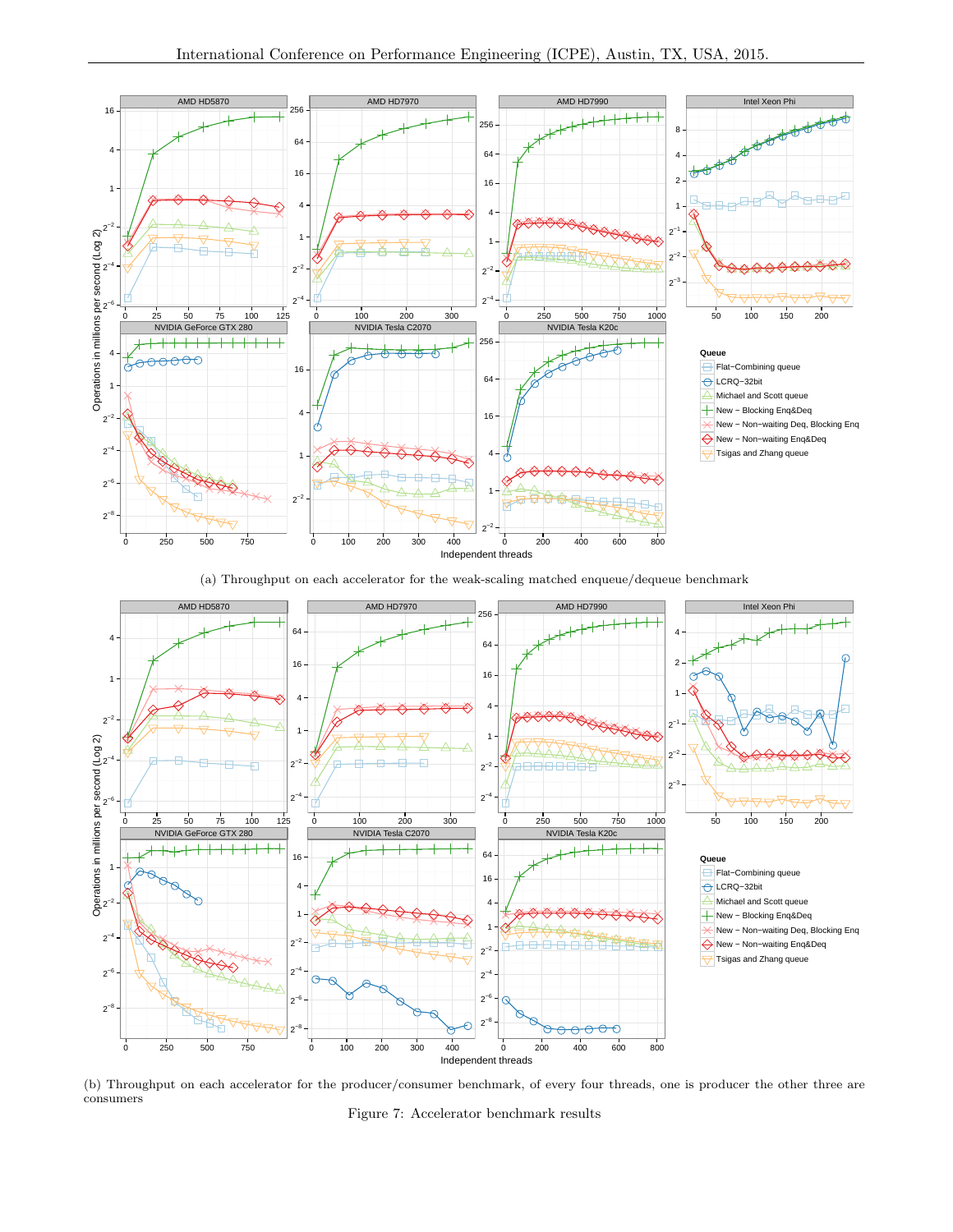

(a) Throughput on each accelerator for the weak-scaling matched enqueue/dequeue benchmark



(b) Throughput on each accelerator for the producer/consumer benchmark, of every four threads, one is producer the other three are consumers Figure 7: Accelerator benchmark results